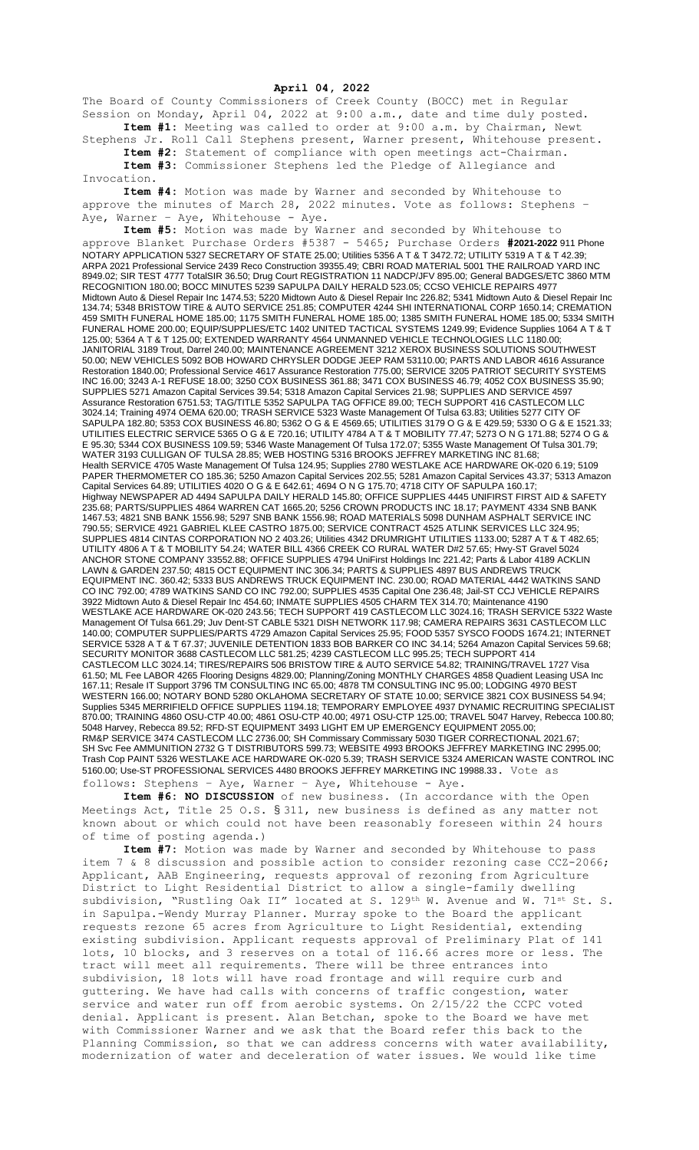## **April 04, 2022**

The Board of County Commissioners of Creek County (BOCC) met in Regular Session on Monday, April 04, 2022 at 9:00 a.m., date and time duly posted. **Item #1:** Meeting was called to order at 9:00 a.m. by Chairman, Newt

Stephens Jr. Roll Call Stephens present, Warner present, Whitehouse present. **Item #2:** Statement of compliance with open meetings act-Chairman. **Item #3:** Commissioner Stephens led the Pledge of Allegiance and

Invocation.

**Item #4:** Motion was made by Warner and seconded by Whitehouse to approve the minutes of March 28, 2022 minutes. Vote as follows: Stephens – Aye, Warner - Aye, Whitehouse - Aye.

**Item #5:** Motion was made by Warner and seconded by Whitehouse to approve Blanket Purchase Orders #5387 - 5465; Purchase Orders **#2021-2022** 911 Phone NOTARY APPLICATION 5327 SECRETARY OF STATE 25.00; Utilities 5356 A T & T 3472.72; UTILITY 5319 A T & T 42.39; ARPA 2021 Professional Service 2439 Reco Construction 39355.49; CBRI ROAD MATERIAL 5001 THE RAILROAD YARD INC 8949.02; SIR TEST 4777 TotalSIR 36.50; Drug Court REGISTRATION 11 NADCP/JFV 895.00; General BADGES/ETC 3860 MTM RECOGNITION 180.00; BOCC MINUTES 5239 SAPULPA DAILY HERALD 523.05; CCSO VEHICLE REPAIRS 4977 Midtown Auto & Diesel Repair Inc 1474.53; 5220 Midtown Auto & Diesel Repair Inc 226.82; 5341 Midtown Auto & Diesel Repair Inc 134.74; 5348 BRISTOW TIRE & AUTO SERVICE 251.85; COMPUTER 4244 SHI INTERNATIONAL CORP 1650.14; CREMATION 459 SMITH FUNERAL HOME 185.00; 1175 SMITH FUNERAL HOME 185.00; 1385 SMITH FUNERAL HOME 185.00; 5334 SMITH FUNERAL HOME 200.00; EQUIP/SUPPLIES/ETC 1402 UNITED TACTICAL SYSTEMS 1249.99; Evidence Supplies 1064 A T & T 125.00; 5364 A T & T 125.00; EXTENDED WARRANTY 4564 UNMANNED VEHICLE TECHNOLOGIES LLC 1180.00; JANITORIAL 3189 Trout, Darrel 240.00; MAINTENANCE AGREEMENT 3212 XEROX BUSINESS SOLUTIONS SOUTHWEST 50.00; NEW VEHICLES 5092 BOB HOWARD CHRYSLER DODGE JEEP RAM 53110.00; PARTS AND LABOR 4616 Assurance Restoration 1840.00; Professional Service 4617 Assurance Restoration 775.00; SERVICE 3205 PATRIOT SECURITY SYSTEMS INC 16.00; 3243 A-1 REFUSE 18.00; 3250 COX BUSINESS 361.88; 3471 COX BUSINESS 46.79; 4052 COX BUSINESS 35.90; SUPPLIES 5271 Amazon Capital Services 39.54; 5318 Amazon Capital Services 21.98; SUPPLIES AND SERVICE 4597 Assurance Restoration 6751.53; TAG/TITLE 5352 SAPULPA TAG OFFICE 89.00; TECH SUPPORT 416 CASTLECOM LLC 3024.14; Training 4974 OEMA 620.00; TRASH SERVICE 5323 Waste Management Of Tulsa 63.83; Utilities 5277 CITY OF SAPULPA 182.80; 5353 COX BUSINESS 46.80; 5362 O G & E 4569.65; UTILITIES 3179 O G & E 429.59; 5330 O G & E 1521.33; UTILITIES ELECTRIC SERVICE 5365 O G & E 720.16; UTILITY 4784 A T & T MOBILITY 77.47; 5273 O N G 171.88; 5274 O G & E 95.30; 5344 COX BUSINESS 109.59; 5346 Waste Management Of Tulsa 172.07; 5355 Waste Management Of Tulsa 301.79; WATER 3193 CULLIGAN OF TULSA 28.85; WEB HOSTING 5316 BROOKS JEFFREY MARKETING INC 81.68; Health SERVICE 4705 Waste Management Of Tulsa 124.95; Supplies 2780 WESTLAKE ACE HARDWARE OK-020 6.19; 5109 PAPER THERMOMETER CO 185.36; 5250 Amazon Capital Services 202.55; 5281 Amazon Capital Services 43.37; 5313 Amazon Capital Services 64.89; UTILITIES 4020 O G & E 642.61; 4694 O N G 175.70; 4718 CITY OF SAPULPA 160.17; Highway NEWSPAPER AD 4494 SAPULPA DAILY HERALD 145.80; OFFICE SUPPLIES 4445 UNIFIRST FIRST AID & SAFETY 235.68; PARTS/SUPPLIES 4864 WARREN CAT 1665.20; 5256 CROWN PRODUCTS INC 18.17; PAYMENT 4334 SNB BANK 1467.53; 4821 SNB BANK 1556.98; 5297 SNB BANK 1556.98; ROAD MATERIALS 5098 DUNHAM ASPHALT SERVICE INC 790.55; SERVICE 4921 GABRIEL KLEE CASTRO 1875.00; SERVICE CONTRACT 4525 ATLINK SERVICES LLC 324.95; SUPPLIES 4814 CINTAS CORPORATION NO 2 403.26; Utilities 4342 DRUMRIGHT UTILITIES 1133.00; 5287 A T & T 482.65; UTILITY 4806 A T & T MOBILITY 54.24; WATER BILL 4366 CREEK CO RURAL WATER D#2 57.65; Hwy-ST Gravel 5024 ANCHOR STONE COMPANY 33552.88; OFFICE SUPPLIES 4794 UniFirst Holdings Inc 221.42; Parts & Labor 4189 ACKLIN LAWN & GARDEN 237.50; 4815 OCT EQUIPMENT INC 306.34; PARTS & SUPPLIES 4897 BUS ANDREWS TRUCK EQUIPMENT INC. 360.42; 5333 BUS ANDREWS TRUCK EQUIPMENT INC. 230.00; ROAD MATERIAL 4442 WATKINS SAND CO INC 792.00; 4789 WATKINS SAND CO INC 792.00; SUPPLIES 4535 Capital One 236.48; Jail-ST CCJ VEHICLE REPAIRS 3922 Midtown Auto & Diesel Repair Inc 454.60; INMATE SUPPLIES 4505 CHARM TEX 314.70; Maintenance 4190 WESTLAKE ACE HARDWARE OK-020 243.56; TECH SUPPORT 419 CASTLECOM LLC 3024.16; TRASH SERVICE 5322 Waste Management Of Tulsa 661.29; Juv Dent-ST CABLE 5321 DISH NETWORK 117.98; CAMERA REPAIRS 3631 CASTLECOM LLC 140.00; COMPUTER SUPPLIES/PARTS 4729 Amazon Capital Services 25.95; FOOD 5357 SYSCO FOODS 1674.21; INTERNET SERVICE 5328 A T & T 67.37; JUVENILE DETENTION 1833 BOB BARKER CO INC 34.14; 5264 Amazon Capital Services 59.68; SECURITY MONITOR 3688 CASTLECOM LLC 581.25; 4239 CASTLECOM LLC 995.25; TECH SUPPORT 414 CASTLECOM LLC 3024.14; TIRES/REPAIRS 506 BRISTOW TIRE & AUTO SERVICE 54.82; TRAINING/TRAVEL 1727 Visa 61.50; ML Fee LABOR 4265 Flooring Designs 4829.00; Planning/Zoning MONTHLY CHARGES 4858 Quadient Leasing USA Inc 167.11; Resale IT Support 3796 TM CONSULTING INC 65.00; 4878 TM CONSULTING INC 95.00; LODGING 4970 BEST WESTERN 166.00; NOTARY BOND 5280 OKLAHOMA SECRETARY OF STATE 10.00; SERVICE 3821 COX BUSINESS 54.94; Supplies 5345 MERRIFIELD OFFICE SUPPLIES 1194.18; TEMPORARY EMPLOYEE 4937 DYNAMIC RECRUITING SPECIALIST 870.00; TRAINING 4860 OSU-CTP 40.00; 4861 OSU-CTP 40.00; 4971 OSU-CTP 125.00; TRAVEL 5047 Harvey, Rebecca 100.80; 5048 Harvey, Rebecca 89.52; RFD-ST EQUIPMENT 3493 LIGHT EM UP EMERGENCY EQUIPMENT 2055.00; RM&P SERVICE 3474 CASTLECOM LLC 2736.00; SH Commissary Commissary 5030 TIGER CORRECTIONAL 2021.67; SH Svc Fee AMMUNITION 2732 G T DISTRIBUTORS 599.73; WEBSITE 4993 BROOKS JEFFREY MARKETING INC 2995.00; Trash Cop PAINT 5326 WESTLAKE ACE HARDWARE OK-020 5.39; TRASH SERVICE 5324 AMERICAN WASTE CONTROL INC 5160.00; Use-ST PROFESSIONAL SERVICES 4480 BROOKS JEFFREY MARKETING INC 19988.33. Vote as follows: Stephens – Aye, Warner – Aye, Whitehouse - Aye.

**Item #6: NO DISCUSSION** of new business. (In accordance with the Open Meetings Act, Title 25 O.S. § 311, new business is defined as any matter not known about or which could not have been reasonably foreseen within 24 hours of time of posting agenda.)

**Item #7:** Motion was made by Warner and seconded by Whitehouse to pass item 7 & 8 discussion and possible action to consider rezoning case CCZ-2066; Applicant, AAB Engineering, requests approval of rezoning from Agriculture District to Light Residential District to allow a single-family dwelling subdivision, "Rustling Oak II" located at S. 129<sup>th</sup> W. Avenue and W. 71<sup>st</sup> St. S. in Sapulpa.-Wendy Murray Planner. Murray spoke to the Board the applicant requests rezone 65 acres from Agriculture to Light Residential, extending existing subdivision. Applicant requests approval of Preliminary Plat of 141 lots, 10 blocks, and 3 reserves on a total of 116.66 acres more or less. The tract will meet all requirements. There will be three entrances into subdivision, 18 lots will have road frontage and will require curb and guttering. We have had calls with concerns of traffic congestion, water service and water run off from aerobic systems. On 2/15/22 the CCPC voted denial. Applicant is present. Alan Betchan, spoke to the Board we have met with Commissioner Warner and we ask that the Board refer this back to the Planning Commission, so that we can address concerns with water availability, modernization of water and deceleration of water issues. We would like time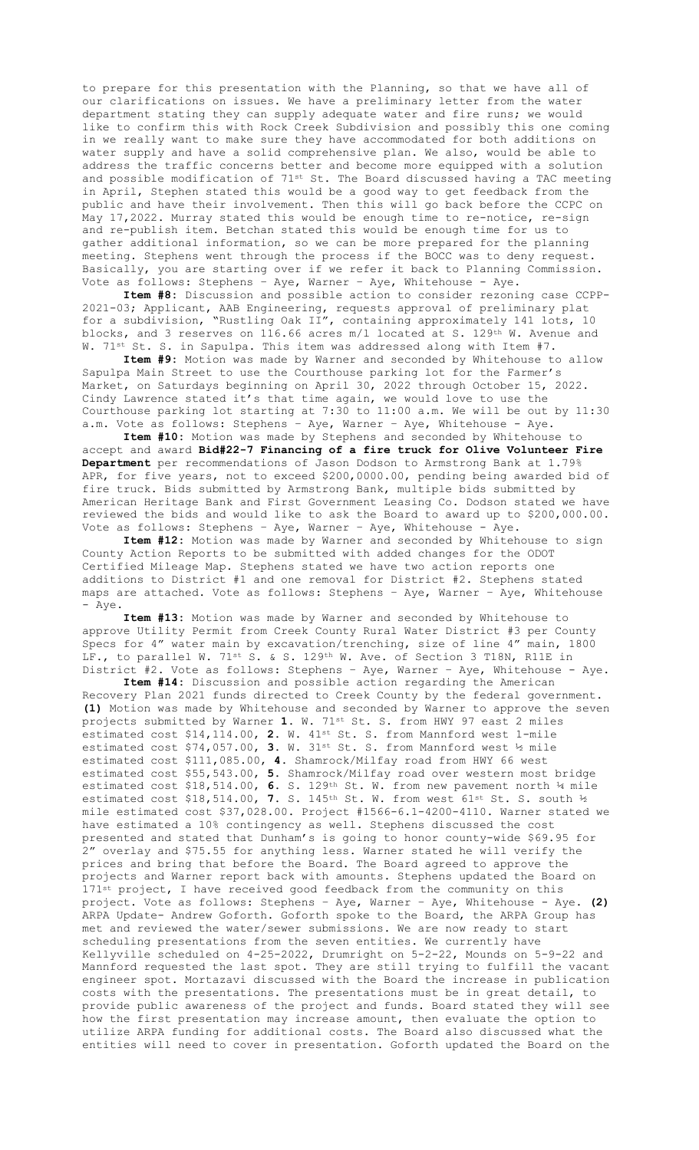to prepare for this presentation with the Planning, so that we have all of our clarifications on issues. We have a preliminary letter from the water department stating they can supply adequate water and fire runs; we would like to confirm this with Rock Creek Subdivision and possibly this one coming in we really want to make sure they have accommodated for both additions on water supply and have a solid comprehensive plan. We also, would be able to address the traffic concerns better and become more equipped with a solution and possible modification of  $71^{st}$  St. The Board discussed having a TAC meeting in April, Stephen stated this would be a good way to get feedback from the public and have their involvement. Then this will go back before the CCPC on May 17,2022. Murray stated this would be enough time to re-notice, re-sign and re-publish item. Betchan stated this would be enough time for us to gather additional information, so we can be more prepared for the planning meeting. Stephens went through the process if the BOCC was to deny request. Basically, you are starting over if we refer it back to Planning Commission. Vote as follows: Stephens – Aye, Warner – Aye, Whitehouse - Aye.

**Item #8:** Discussion and possible action to consider rezoning case CCPP-2021-03; Applicant, AAB Engineering, requests approval of preliminary plat for a subdivision, "Rustling Oak II", containing approximately 141 lots, 10 blocks, and 3 reserves on 116.66 acres m/l located at S. 129th W. Avenue and W. 71st St. S. in Sapulpa. This item was addressed along with Item #7.

**Item #9:** Motion was made by Warner and seconded by Whitehouse to allow Sapulpa Main Street to use the Courthouse parking lot for the Farmer's Market, on Saturdays beginning on April 30, 2022 through October 15, 2022. Cindy Lawrence stated it's that time again, we would love to use the Courthouse parking lot starting at 7:30 to 11:00 a.m. We will be out by 11:30 a.m. Vote as follows: Stephens – Aye, Warner – Aye, Whitehouse - Aye.

**Item #10:** Motion was made by Stephens and seconded by Whitehouse to accept and award **Bid#22-7 Financing of a fire truck for Olive Volunteer Fire Department** per recommendations of Jason Dodson to Armstrong Bank at 1.79% APR, for five years, not to exceed \$200,0000.00, pending being awarded bid of fire truck. Bids submitted by Armstrong Bank, multiple bids submitted by American Heritage Bank and First Government Leasing Co. Dodson stated we have reviewed the bids and would like to ask the Board to award up to \$200,000.00. Vote as follows: Stephens – Aye, Warner – Aye, Whitehouse - Aye.

**Item #12:** Motion was made by Warner and seconded by Whitehouse to sign County Action Reports to be submitted with added changes for the ODOT Certified Mileage Map. Stephens stated we have two action reports one additions to District #1 and one removal for District #2. Stephens stated maps are attached. Vote as follows: Stephens - Aye, Warner - Aye, Whitehouse - Aye.

**Item #13:** Motion was made by Warner and seconded by Whitehouse to approve Utility Permit from Creek County Rural Water District #3 per County Specs for 4" water main by excavation/trenching, size of line 4" main, 1800 LF., to parallel W. 71st S. & S. 129th W. Ave. of Section 3 T18N, R11E in District #2. Vote as follows: Stephens – Aye, Warner – Aye, Whitehouse - Aye.

**Item #14:** Discussion and possible action regarding the American Recovery Plan 2021 funds directed to Creek County by the federal government. **(1)** Motion was made by Whitehouse and seconded by Warner to approve the seven projects submitted by Warner **1.** W. 71st St. S. from HWY 97 east 2 miles estimated cost \$14,114.00, 2. W. 41<sup>st</sup> St. S. from Mannford west 1-mile estimated cost \$74,057.00, **3.** W. 31st St. S. from Mannford west ½ mile estimated cost \$111,085.00, **4.** Shamrock/Milfay road from HWY 66 west estimated cost \$55,543.00, **5.** Shamrock/Milfay road over western most bridge estimated cost \$18,514.00, **6.** S. 129th St. W. from new pavement north ¼ mile estimated cost \$18,514.00, **7.** S. 145th St. W. from west 61st St. S. south ½ mile estimated cost \$37,028.00. Project #1566-6.1-4200-4110. Warner stated we have estimated a 10% contingency as well. Stephens discussed the cost presented and stated that Dunham's is going to honor county-wide \$69.95 for 2" overlay and \$75.55 for anything less. Warner stated he will verify the prices and bring that before the Board. The Board agreed to approve the projects and Warner report back with amounts. Stephens updated the Board on 171st project, I have received good feedback from the community on this project. Vote as follows: Stephens – Aye, Warner – Aye, Whitehouse - Aye. **(2)**  ARPA Update- Andrew Goforth. Goforth spoke to the Board, the ARPA Group has met and reviewed the water/sewer submissions. We are now ready to start scheduling presentations from the seven entities. We currently have Kellyville scheduled on 4-25-2022, Drumright on 5-2-22, Mounds on 5-9-22 and Mannford requested the last spot. They are still trying to fulfill the vacant engineer spot. Mortazavi discussed with the Board the increase in publication costs with the presentations. The presentations must be in great detail, to provide public awareness of the project and funds. Board stated they will see how the first presentation may increase amount, then evaluate the option to utilize ARPA funding for additional costs. The Board also discussed what the entities will need to cover in presentation. Goforth updated the Board on the